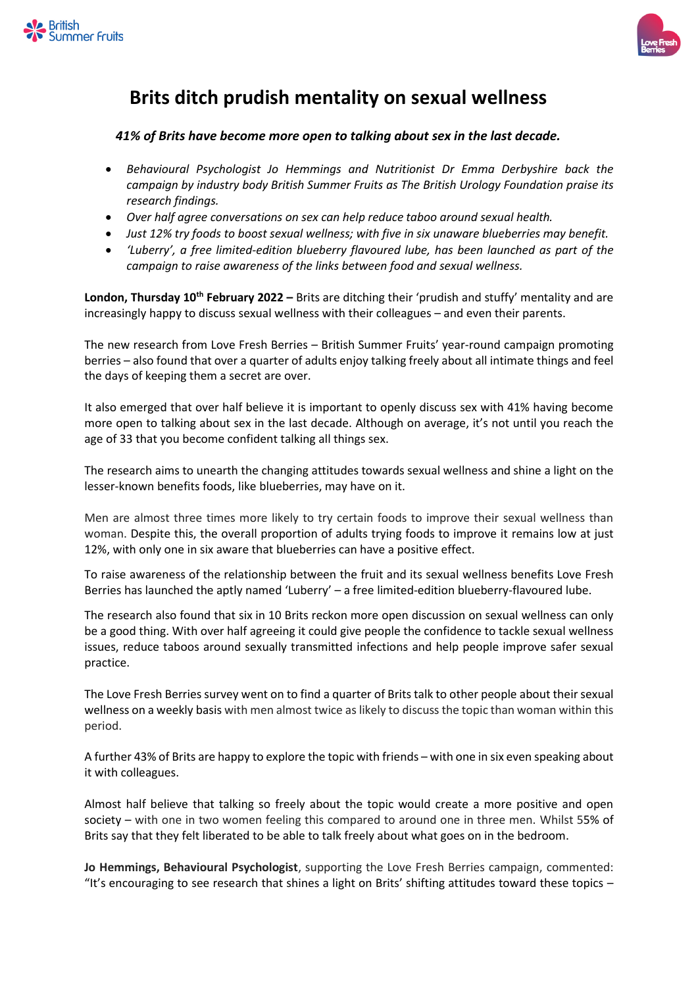



## **Brits ditch prudish mentality on sexual wellness**

## *41% of Brits have become more open to talking about sex in the last decade.*

- *Behavioural Psychologist Jo Hemmings and Nutritionist Dr Emma Derbyshire back the campaign by industry body British Summer Fruits as The British Urology Foundation praise its research findings.*
- *Over half agree conversations on sex can help reduce taboo around sexual health.*
- *Just 12% try foods to boost sexual wellness; with five in six unaware blueberries may benefit.*
- *'Luberry', a free limited-edition blueberry flavoured lube, has been launched as part of the campaign to raise awareness of the links between food and sexual wellness.*

**London, Thursday 10th February 2022 –** Brits are ditching their 'prudish and stuffy' mentality and are increasingly happy to discuss sexual wellness with their colleagues – and even their parents.

The new research from Love Fresh Berries – British Summer Fruits' year-round campaign promoting berries – also found that over a quarter of adults enjoy talking freely about all intimate things and feel the days of keeping them a secret are over.

It also emerged that over half believe it is important to openly discuss sex with 41% having become more open to talking about sex in the last decade. Although on average, it's not until you reach the age of 33 that you become confident talking all things sex.

The research aims to unearth the changing attitudes towards sexual wellness and shine a light on the lesser-known benefits foods, like blueberries, may have on it.

Men are almost three times more likely to try certain foods to improve their sexual wellness than woman. Despite this, the overall proportion of adults trying foods to improve it remains low at just 12%, with only one in six aware that blueberries can have a positive effect.

To raise awareness of the relationship between the fruit and its sexual wellness benefits Love Fresh Berries has launched the aptly named 'Luberry' – a free limited-edition blueberry-flavoured lube.

The research also found that six in 10 Brits reckon more open discussion on sexual wellness can only be a good thing. With over half agreeing it could give people the confidence to tackle sexual wellness issues, reduce taboos around sexually transmitted infections and help people improve safer sexual practice.

The Love Fresh Berries survey went on to find a quarter of Brits talk to other people about their sexual wellness on a weekly basis with men almost twice as likely to discuss the topic than woman within this period.

A further 43% of Brits are happy to explore the topic with friends – with one in six even speaking about it with colleagues.

Almost half believe that talking so freely about the topic would create a more positive and open society – with one in two women feeling this compared to around one in three men. Whilst 55% of Brits say that they felt liberated to be able to talk freely about what goes on in the bedroom.

**Jo Hemmings, Behavioural Psychologist**, supporting the Love Fresh Berries campaign, commented: "It's encouraging to see research that shines a light on Brits' shifting attitudes toward these topics  $-$